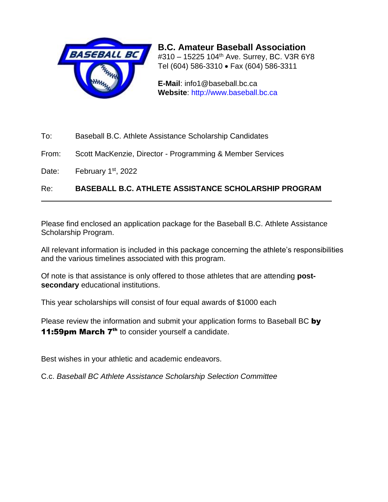

**B.C. Amateur Baseball Association** #310 - 15225 104<sup>th</sup> Ave. Surrey, BC. V3R 6Y8 Tel (604) 586-3310 • Fax (604) 586-3311

**E-Mail**: info1@baseball.bc.ca **Website**: [http://www.baseball.bc.ca](http://www.baseball.bc.ca/)

- To: Baseball B.C. Athlete Assistance Scholarship Candidates
- From: Scott MacKenzie, Director Programming & Member Services

Date: February 1<sup>st</sup>, 2022

Re: **BASEBALL B.C. ATHLETE ASSISTANCE SCHOLARSHIP PROGRAM**

Please find enclosed an application package for the Baseball B.C. Athlete Assistance Scholarship Program.

All relevant information is included in this package concerning the athlete's responsibilities and the various timelines associated with this program.

Of note is that assistance is only offered to those athletes that are attending **postsecondary** educational institutions.

This year scholarships will consist of four equal awards of \$1000 each

Please review the information and submit your application forms to Baseball BC by 11:59pm March 7<sup>th</sup> to consider yourself a candidate.

Best wishes in your athletic and academic endeavors.

C.c. *Baseball BC Athlete Assistance Scholarship Selection Committee*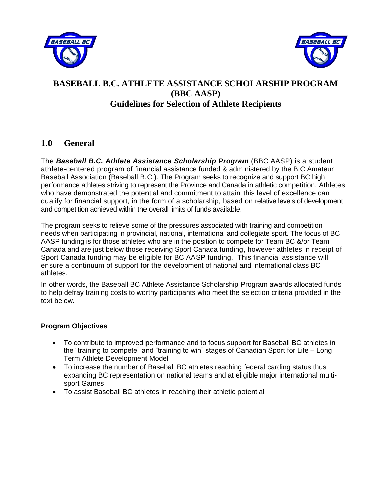



## **BASEBALL B.C. ATHLETE ASSISTANCE SCHOLARSHIP PROGRAM (BBC AASP) Guidelines for Selection of Athlete Recipients**

### **1.0 General**

The *Baseball B.C. Athlete Assistance Scholarship Program* (BBC AASP) is a student athlete-centered program of financial assistance funded & administered by the B.C Amateur Baseball Association (Baseball B.C.). The Program seeks to recognize and support BC high performance athletes striving to represent the Province and Canada in athletic competition. Athletes who have demonstrated the potential and commitment to attain this level of excellence can qualify for financial support, in the form of a scholarship, based on relative levels of development and competition achieved within the overall limits of funds available.

The program seeks to relieve some of the pressures associated with training and competition needs when participating in provincial, national, international and collegiate sport. The focus of BC AASP funding is for those athletes who are in the position to compete for Team BC &/or Team Canada and are just below those receiving Sport Canada funding, however athletes in receipt of Sport Canada funding may be eligible for BC AASP funding. This financial assistance will ensure a continuum of support for the development of national and international class BC athletes.

In other words, the Baseball BC Athlete Assistance Scholarship Program awards allocated funds to help defray training costs to worthy participants who meet the selection criteria provided in the text below.

### **Program Objectives**

- To contribute to improved performance and to focus support for Baseball BC athletes in the "training to compete" and "training to win" stages of Canadian Sport for Life – Long Term Athlete Development Model
- To increase the number of Baseball BC athletes reaching federal carding status thus expanding BC representation on national teams and at eligible major international multisport Games
- To assist Baseball BC athletes in reaching their athletic potential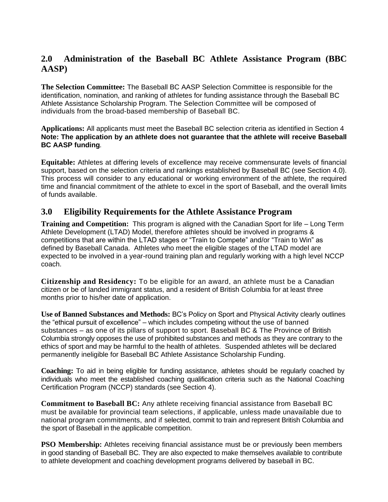## **2.0 Administration of the Baseball BC Athlete Assistance Program (BBC AASP)**

**The Selection Committee:** The Baseball BC AASP Selection Committee is responsible for the identification, nomination, and ranking of athletes for funding assistance through the Baseball BC Athlete Assistance Scholarship Program. The Selection Committee will be composed of individuals from the broad-based membership of Baseball BC.

**Applications:** All applicants must meet the Baseball BC selection criteria as identified in Section 4 **Note: The application by an athlete does not guarantee that the athlete will receive Baseball BC AASP funding***.*

**Equitable:** Athletes at differing levels of excellence may receive commensurate levels of financial support, based on the selection criteria and rankings established by Baseball BC (see Section 4.0). This process will consider to any educational or working environment of the athlete, the required time and financial commitment of the athlete to excel in the sport of Baseball, and the overall limits of funds available.

## **3.0 Eligibility Requirements for the Athlete Assistance Program**

**Training and Competition:** This program is aligned with the Canadian Sport for life – Long Term Athlete Development (LTAD) Model, therefore athletes should be involved in programs & competitions that are within the LTAD stages or "Train to Compete" and/or "Train to Win" as defined by Baseball Canada. Athletes who meet the eligible stages of the LTAD model are expected to be involved in a year-round training plan and regularly working with a high level NCCP coach.

**Citizenship and Residency:** To be eligible for an award, an athlete must be a Canadian citizen or be of landed immigrant status, and a resident of British Columbia for at least three months prior to his/her date of application.

**Use of Banned Substances and Methods:** BC's Policy on Sport and Physical Activity clearly outlines the "ethical pursuit of excellence" – which includes competing without the use of banned substances – as one of its pillars of support to sport. Baseball BC & The Province of British Columbia strongly opposes the use of prohibited substances and methods as they are contrary to the ethics of sport and may be harmful to the health of athletes. Suspended athletes will be declared permanently ineligible for Baseball BC Athlete Assistance Scholarship Funding.

**Coaching:** To aid in being eligible for funding assistance, athletes should be regularly coached by individuals who meet the established coaching qualification criteria such as the National Coaching Certification Program (NCCP) standards (see Section 4).

**Commitment to Baseball BC:** Any athlete receiving financial assistance from Baseball BC must be available for provincial team selections, if applicable, unless made unavailable due to national program commitments, and if selected, commit to train and represent British Columbia and the sport of Baseball in the applicable competition.

**PSO Membership:** Athletes receiving financial assistance must be or previously been members in good standing of Baseball BC. They are also expected to make themselves available to contribute to athlete development and coaching development programs delivered by baseball in BC.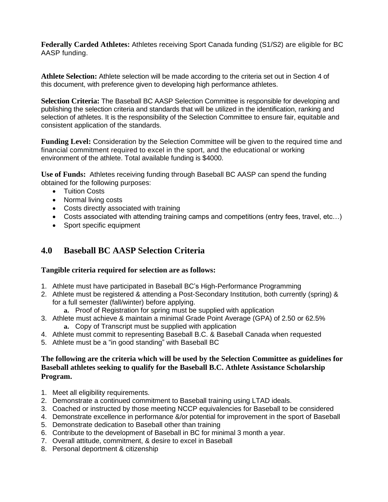**Federally Carded Athletes:** Athletes receiving Sport Canada funding (S1/S2) are eligible for BC AASP funding.

**Athlete Selection:** Athlete selection will be made according to the criteria set out in Section 4 of this document, with preference given to developing high performance athletes.

**Selection Criteria:** The Baseball BC AASP Selection Committee is responsible for developing and publishing the selection criteria and standards that will be utilized in the identification, ranking and selection of athletes. It is the responsibility of the Selection Committee to ensure fair, equitable and consistent application of the standards.

**Funding Level:** Consideration by the Selection Committee will be given to the required time and financial commitment required to excel in the sport, and the educational or working environment of the athlete. Total available funding is \$4000.

**Use of Funds:** Athletes receiving funding through Baseball BC AASP can spend the funding obtained for the following purposes:

- Tuition Costs
- Normal living costs
- Costs directly associated with training
- Costs associated with attending training camps and competitions (entry fees, travel, etc...)
- Sport specific equipment

## **4.0 Baseball BC AASP Selection Criteria**

#### **Tangible criteria required for selection are as follows:**

- 1. Athlete must have participated in Baseball BC's High-Performance Programming
- 2. Athlete must be registered & attending a Post-Secondary Institution, both currently (spring) & for a full semester (fall/winter) before applying.
	- **a.** Proof of Registration for spring must be supplied with application
- 3. Athlete must achieve & maintain a minimal Grade Point Average (GPA) of 2.50 or 62.5% **a.** Copy of Transcript must be supplied with application
- 4. Athlete must commit to representing Baseball B.C. & Baseball Canada when requested
- 5. Athlete must be a "in good standing" with Baseball BC

#### **The following are the criteria which will be used by the Selection Committee as guidelines for Baseball athletes seeking to qualify for the Baseball B.C. Athlete Assistance Scholarship Program.**

- 1. Meet all eligibility requirements.
- 2. Demonstrate a continued commitment to Baseball training using LTAD ideals.
- 3. Coached or instructed by those meeting NCCP equivalencies for Baseball to be considered
- 4. Demonstrate excellence in performance &/or potential for improvement in the sport of Baseball
- 5. Demonstrate dedication to Baseball other than training
- 6. Contribute to the development of Baseball in BC for minimal 3 month a year.
- 7. Overall attitude, commitment, & desire to excel in Baseball
- 8. Personal deportment & citizenship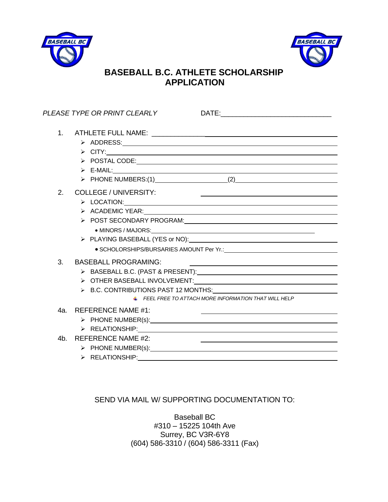



## **BASEBALL B.C. ATHLETE SCHOLARSHIP APPLICATION**

|     | PLEASE TYPE OR PRINT CLEARLY                                                                                                                                                                                                                                                                                               |
|-----|----------------------------------------------------------------------------------------------------------------------------------------------------------------------------------------------------------------------------------------------------------------------------------------------------------------------------|
|     | $\triangleright$ CITY: $\overline{\phantom{a}}$<br>$\triangleright$ POSTAL CODE: $\overline{\phantom{a}}$<br>$\triangleright$ E-MAIL: $\blacksquare$<br>> PHONE NUMBERS:(1) (2)                                                                                                                                            |
| 2.  | <b>COLLEGE / UNIVERSITY:</b><br>the contract of the contract of the contract of the contract of the contract of the contract of<br>> ACADEMIC YEAR: Network and ACADEMIC YEAR:<br>> POST SECONDARY PROGRAM: Network and ASS ASSESSMENT PROGRAM:                                                                            |
| 3.  | <b>BASEBALL PROGRAMING:</b><br>$\triangleright$ B.C. CONTRIBUTIONS PAST 12 MONTHS:<br>$\pm$ FEEL FREE TO ATTACH MORE INFORMATION THAT WILL HELP                                                                                                                                                                            |
| 4а. | <b>REFERENCE NAME #1:</b>                                                                                                                                                                                                                                                                                                  |
| 4b. | <b>REFERENCE NAME #2:</b><br><u> 1989 - Andrea Stadt Britain, amerikansk politiker (</u><br>> PHONE NUMBER(s): Next Assembly a material contract of the set of the set of the set of the set of the set of the set of the set of the set of the set of the set of the set of the set of the set of the set of the set of t |

### SEND VIA MAIL W/ SUPPORTING DOCUMENTATION TO:

Baseball BC #310 – 15225 104th Ave Surrey, BC V3R-6Y8 (604) 586-3310 / (604) 586-3311 (Fax)